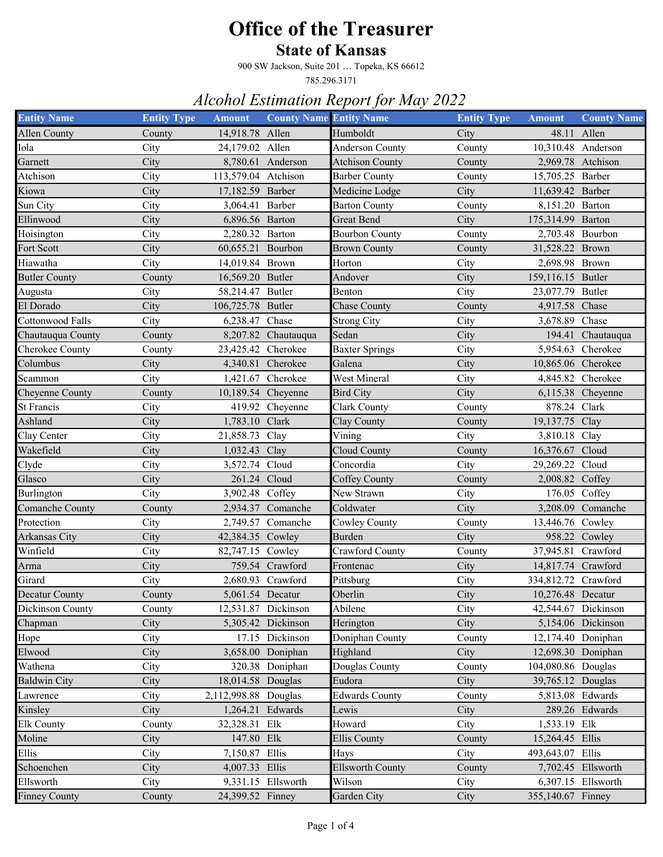#### **State of Kansas**

900 SW Jackson, Suite 201 … Topeka, KS 66612

785.296.3171

| <b>Entity Name</b>      | <b>Entity Type</b> | <b>Amount</b>        | <b>County Name Entity Name</b> |                                | <b>Entity Type</b> | <b>Amount</b>       | <b>County Name</b>  |
|-------------------------|--------------------|----------------------|--------------------------------|--------------------------------|--------------------|---------------------|---------------------|
| <b>Allen County</b>     | County             | 14,918.78 Allen      |                                | Humboldt                       | City               | 48.11 Allen         |                     |
| Iola                    | City               | 24,179.02 Allen      |                                | <b>Anderson County</b>         | County             | 10,310.48 Anderson  |                     |
| Garnett                 | City               |                      | 8,780.61 Anderson              | <b>Atchison County</b>         | County             |                     | 2,969.78 Atchison   |
| Atchison                | City               | 113,579.04 Atchison  |                                | <b>Barber County</b>           | County             | 15,705.25 Barber    |                     |
| Kiowa                   | City               | 17,182.59 Barber     |                                | Medicine Lodge                 | City               | 11,639.42 Barber    |                     |
| Sun City                | City               | 3,064.41             | Barber                         | <b>Barton County</b>           | County             | 8,151.20 Barton     |                     |
| Ellinwood               | City               | 6,896.56 Barton      |                                | <b>Great Bend</b>              | City               | 175,314.99 Barton   |                     |
| Hoisington              | City               | 2,280.32 Barton      |                                | <b>Bourbon County</b>          | County             | 2,703.48 Bourbon    |                     |
| Fort Scott              | City               | 60,655.21            | Bourbon                        | <b>Brown County</b>            | County             | 31,528.22 Brown     |                     |
| Hiawatha                | City               | 14,019.84 Brown      |                                | Horton                         | City               | 2,698.98 Brown      |                     |
| <b>Butler County</b>    | County             | 16,569.20 Butler     |                                | Andover                        | City               | 159,116.15 Butler   |                     |
| Augusta                 | City               | 58,214.47 Butler     |                                | Benton                         | City               | 23,077.79 Butler    |                     |
| El Dorado               | City               | 106,725.78 Butler    |                                | Chase County                   | County             | 4,917.58 Chase      |                     |
| <b>Cottonwood Falls</b> | City               | 6,238.47 Chase       |                                | <b>Strong City</b>             | City               | 3,678.89            | Chase               |
| Chautauqua County       | County             |                      | 8,207.82 Chautauqua            | Sedan                          | City               |                     | 194.41 Chautauqua   |
| Cherokee County         | County             | 23,425.42 Cherokee   |                                | <b>Baxter Springs</b>          | City               |                     | 5,954.63 Cherokee   |
| Columbus                | City               |                      | 4,340.81 Cherokee              | Galena                         | City               | 10,865.06 Cherokee  |                     |
| Scammon                 | City               | 1,421.67             | Cherokee                       | West Mineral                   | City               |                     | 4,845.82 Cherokee   |
| Cheyenne County         | County             | 10,189.54 Cheyenne   |                                | <b>Bird City</b>               | City               |                     | 6,115.38 Cheyenne   |
| St Francis              | City               |                      | 419.92 Cheyenne                | <b>Clark County</b>            | County             | 878.24 Clark        |                     |
| Ashland                 | City               | 1,783.10 Clark       |                                | Clay County                    | County             | 19,137.75 Clay      |                     |
| Clay Center             | City               | 21,858.73            | Clay                           | Vining                         | City               | 3,810.18 Clay       |                     |
| Wakefield               | City               | 1,032.43 Clay        |                                | Cloud County                   | County             | 16,376.67 Cloud     |                     |
| Clyde                   | City               | 3,572.74             | Cloud                          | Concordia                      | City               | 29,269.22 Cloud     |                     |
| Glasco                  | City               | 261.24 Cloud         |                                | Coffey County                  | County             | 2,008.82 Coffey     |                     |
| Burlington              | City               | 3,902.48 Coffey      |                                | New Strawn                     | City               |                     | 176.05 Coffey       |
| Comanche County         | County             |                      | 2,934.37 Comanche              | Coldwater                      | City               |                     | 3,208.09 Comanche   |
| Protection              | City               |                      | 2,749.57 Comanche              | Cowley County                  | County             | 13,446.76 Cowley    |                     |
| Arkansas City           | City               | 42,384.35 Cowley     |                                | <b>Burden</b>                  | City               |                     | 958.22 Cowley       |
| Winfield                | City               | 82,747.15 Cowley     |                                | Crawford County                | County             | 37,945.81 Crawford  |                     |
| Arma                    | City               |                      | 759.54 Crawford                | Frontenac                      | City               | 14,817.74 Crawford  |                     |
| Girard                  | City               |                      | 2,680.93 Crawford              | Pittsburg                      | City               | 334,812.72 Crawford |                     |
| Decatur County          | County             | 5,061.54 Decatur     |                                | $\overline{\mathrm{O}}$ berlin | City               | 10,276.48 Decatur   |                     |
| Dickinson County        | County             |                      | 12,531.87 Dickinson            | Abilene                        | City               |                     | 42,544.67 Dickinson |
| Chapman                 | City               |                      | 5,305.42 Dickinson             | Herington                      | City               |                     | 5,154.06 Dickinson  |
| Hope                    | City               |                      | 17.15 Dickinson                | Doniphan County                | County             |                     | 12,174.40 Doniphan  |
| Elwood                  | City               |                      | 3,658.00 Doniphan              | Highland                       | City               |                     | 12,698.30 Doniphan  |
| Wathena                 | City               |                      | 320.38 Doniphan                | Douglas County                 | County             | 104,080.86 Douglas  |                     |
| <b>Baldwin City</b>     | City               | 18,014.58 Douglas    |                                | Eudora                         | City               | 39,765.12 Douglas   |                     |
| Lawrence                | City               | 2,112,998.88 Douglas |                                | <b>Edwards County</b>          | County             |                     | 5,813.08 Edwards    |
| Kinsley                 | City               | 1,264.21 Edwards     |                                | Lewis                          | City               |                     | 289.26 Edwards      |
| <b>Elk County</b>       | County             | 32,328.31 Elk        |                                | Howard                         | City               | 1,533.19 Elk        |                     |
| Moline                  | City               | 147.80 Elk           |                                | <b>Ellis County</b>            | County             | 15,264.45 Ellis     |                     |
| Ellis                   | City               | 7,150.87 Ellis       |                                | Hays                           | City               | 493,643.07 Ellis    |                     |
| Schoenchen              | City               | 4,007.33 Ellis       |                                | <b>Ellsworth County</b>        | County             |                     | 7,702.45 Ellsworth  |
| Ellsworth               | City               |                      | 9,331.15 Ellsworth             | Wilson                         | City               |                     | 6,307.15 Ellsworth  |
| <b>Finney County</b>    | County             | 24,399.52 Finney     |                                | Garden City                    | City               | 355,140.67 Finney   |                     |
|                         |                    |                      |                                |                                |                    |                     |                     |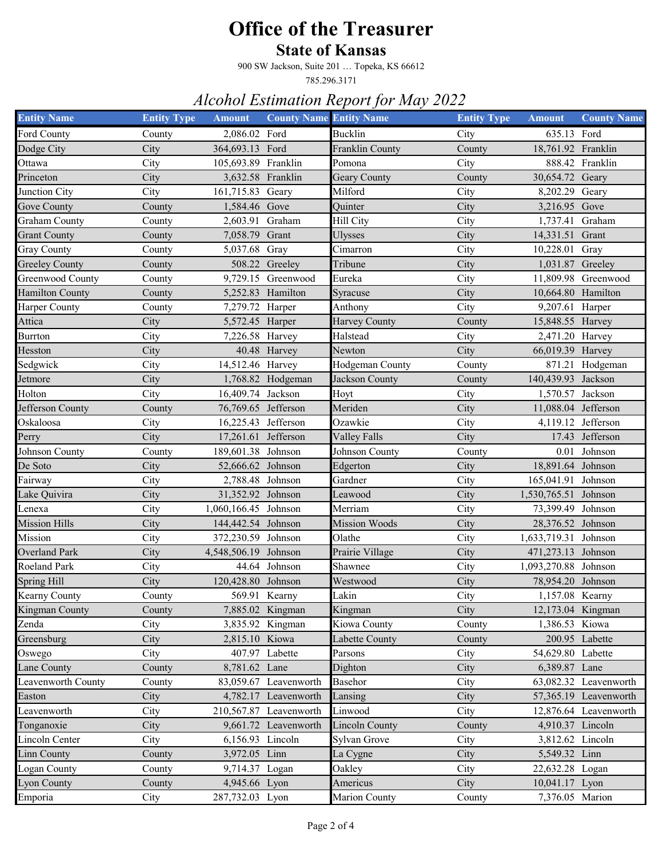#### **State of Kansas**

900 SW Jackson, Suite 201 … Topeka, KS 66612

785.296.3171

| <b>Entity Name</b>     | <b>Entity Type</b> | <b>Amount</b>        | <b>County Name Entity Name</b> |                       | <b>Entity Type</b> | <b>Amount</b>        | <b>County Name</b>    |
|------------------------|--------------------|----------------------|--------------------------------|-----------------------|--------------------|----------------------|-----------------------|
| Ford County            | County             | 2,086.02 Ford        |                                | <b>Bucklin</b>        | City               | 635.13 Ford          |                       |
| Dodge City             | City               | 364,693.13 Ford      |                                | Franklin County       | County             | 18,761.92 Franklin   |                       |
| Ottawa                 | City               | 105,693.89 Franklin  |                                | Pomona                | City               |                      | 888.42 Franklin       |
| Princeton              | City               | 3,632.58 Franklin    |                                | Geary County          | County             | 30,654.72 Geary      |                       |
| Junction City          | City               | 161,715.83           | Geary                          | Milford               | City               | 8,202.29 Geary       |                       |
| Gove County            | County             | 1,584.46 Gove        |                                | Quinter               | City               | 3,216.95 Gove        |                       |
| <b>Graham County</b>   | County             | 2,603.91             | Graham                         | Hill City             | City               | 1,737.41 Graham      |                       |
| <b>Grant County</b>    | County             | 7,058.79             | Grant                          | <b>Ulysses</b>        | City               | 14,331.51 Grant      |                       |
| <b>Gray County</b>     | County             | 5,037.68             | Gray                           | Cimarron              | City               | 10,228.01 Gray       |                       |
| <b>Greeley County</b>  | County             |                      | 508.22 Greeley                 | Tribune               | City               | 1,031.87 Greeley     |                       |
| Greenwood County       | County             |                      | 9,729.15 Greenwood             | Eureka                | City               |                      | 11,809.98 Greenwood   |
| <b>Hamilton County</b> | County             |                      | 5,252.83 Hamilton              | Syracuse              | City               | 10,664.80 Hamilton   |                       |
| Harper County          | County             | 7,279.72 Harper      |                                | Anthony               | City               | 9,207.61 Harper      |                       |
| Attica                 | City               | 5,572.45 Harper      |                                | Harvey County         | County             | 15,848.55 Harvey     |                       |
| Burrton                | City               | 7,226.58 Harvey      |                                | Halstead              | City               | 2,471.20 Harvey      |                       |
| Hesston                | City               |                      | 40.48 Harvey                   | Newton                | City               | 66,019.39 Harvey     |                       |
| Sedgwick               | City               | 14,512.46 Harvey     |                                | Hodgeman County       | County             |                      | 871.21 Hodgeman       |
| Jetmore                | City               |                      | 1,768.82 Hodgeman              | Jackson County        | County             | 140,439.93 Jackson   |                       |
| Holton                 | City               | 16,409.74 Jackson    |                                | Hoyt                  | City               | 1,570.57 Jackson     |                       |
| Jefferson County       | County             | 76,769.65 Jefferson  |                                | Meriden               | City               | 11,088.04 Jefferson  |                       |
| Oskaloosa              | City               | 16,225.43 Jefferson  |                                | Ozawkie               | City               |                      | 4,119.12 Jefferson    |
| Perry                  | City               | 17,261.61 Jefferson  |                                | Valley Falls          | City               |                      | 17.43 Jefferson       |
| Johnson County         | County             | 189,601.38 Johnson   |                                | Johnson County        | County             |                      | 0.01 Johnson          |
| De Soto                | City               | 52,666.62 Johnson    |                                | Edgerton              | City               | 18,891.64 Johnson    |                       |
| Fairway                | City               | 2,788.48 Johnson     |                                | Gardner               | City               | 165,041.91 Johnson   |                       |
| Lake Quivira           | City               | 31,352.92 Johnson    |                                | Leawood               | City               | 1,530,765.51 Johnson |                       |
| Lenexa                 | City               | 1,060,166.45 Johnson |                                | Merriam               | City               | 73,399.49 Johnson    |                       |
| <b>Mission Hills</b>   | City               | 144,442.54 Johnson   |                                | <b>Mission Woods</b>  | City               | 28,376.52 Johnson    |                       |
| Mission                | City               | 372,230.59 Johnson   |                                | Olathe                | City               | 1,633,719.31 Johnson |                       |
| <b>Overland Park</b>   | City               | 4,548,506.19 Johnson |                                | Prairie Village       | City               | 471,273.13 Johnson   |                       |
| Roeland Park           | City               |                      | 44.64 Johnson                  | Shawnee               | City               | 1,093,270.88 Johnson |                       |
| <b>Spring Hill</b>     | City               | 120,428.80 Johnson   |                                | Westwood              | City               | 78,954.20 Johnson    |                       |
| Kearny County          | County             | 569.91 Kearny        |                                | Lakin                 | City               | 1,157.08 Kearny      |                       |
| Kingman County         | County             |                      | 7,885.02 Kingman               | Kingman               | City               | 12,173.04 Kingman    |                       |
| Zenda                  | City               |                      | 3,835.92 Kingman               | Kiowa County          | County             | 1,386.53 Kiowa       |                       |
| Greensburg             | City               | 2,815.10 Kiowa       |                                | Labette County        | County             |                      | 200.95 Labette        |
| Oswego                 | City               |                      | 407.97 Labette                 | Parsons               | City               | 54,629.80 Labette    |                       |
| Lane County            | County             | 8,781.62 Lane        |                                | Dighton               | City               | 6,389.87 Lane        |                       |
| Leavenworth County     | County             |                      | 83,059.67 Leavenworth          | Basehor               | City               |                      | 63,082.32 Leavenworth |
| Easton                 | City               |                      | 4,782.17 Leavenworth           | Lansing               | City               |                      | 57,365.19 Leavenworth |
| Leavenworth            | City               |                      | 210,567.87 Leavenworth         | Linwood               | City               |                      | 12,876.64 Leavenworth |
| Tonganoxie             | City               |                      | 9,661.72 Leavenworth           | <b>Lincoln County</b> | County             | 4,910.37 Lincoln     |                       |
| Lincoln Center         | City               | 6,156.93 Lincoln     |                                | Sylvan Grove          | City               | 3,812.62 Lincoln     |                       |
| Linn County            | County             | 3,972.05 Linn        |                                | La Cygne              | City               | 5,549.32 Linn        |                       |
| Logan County           | County             | 9,714.37 Logan       |                                | Oakley                | City               | 22,632.28 Logan      |                       |
| Lyon County            | County             | 4,945.66 Lyon        |                                | Americus              | City               | 10,041.17 Lyon       |                       |
| Emporia                | City               | 287,732.03 Lyon      |                                | <b>Marion County</b>  | County             | 7,376.05 Marion      |                       |
|                        |                    |                      |                                |                       |                    |                      |                       |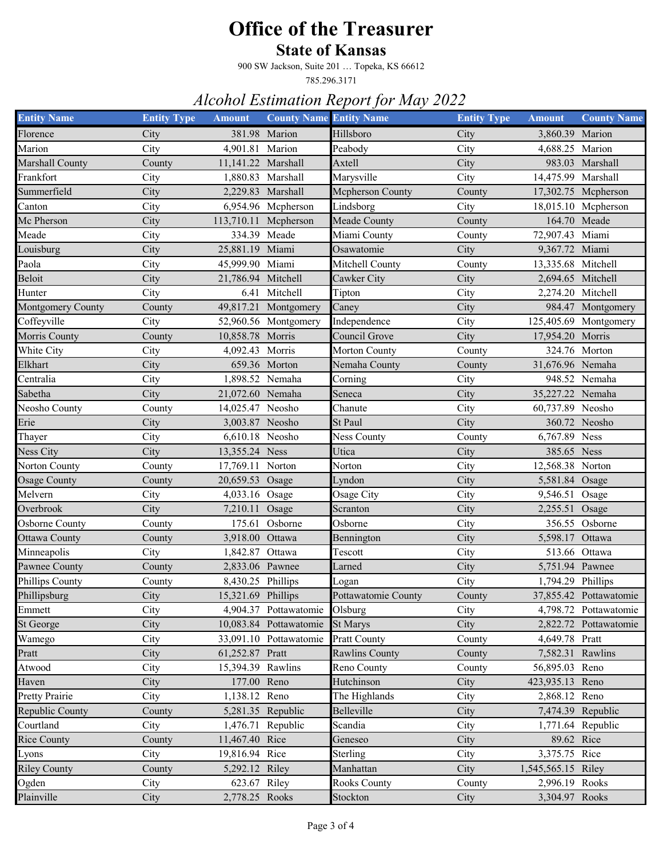#### **State of Kansas**

900 SW Jackson, Suite 201 … Topeka, KS 66612

785.296.3171

| <b>Entity Name</b>  | <b>Entity Type</b> | <b>Amount</b>      | <b>County Name Entity Name</b> |                       | <b>Entity Type</b> | <b>Amount</b>      | <b>County Name</b>     |
|---------------------|--------------------|--------------------|--------------------------------|-----------------------|--------------------|--------------------|------------------------|
| Florence            | City               |                    | 381.98 Marion                  | Hillsboro             | City               | 3,860.39 Marion    |                        |
| Marion              | City               | 4,901.81 Marion    |                                | Peabody               | City               | 4,688.25 Marion    |                        |
| Marshall County     | County             | 11,141.22 Marshall |                                | Axtell                | City               |                    | 983.03 Marshall        |
| Frankfort           | City               |                    | 1,880.83 Marshall              | Marysville            | City               | 14,475.99 Marshall |                        |
| Summerfield         | City               | 2,229.83           | Marshall                       | Mcpherson County      | County             |                    | 17,302.75 Mcpherson    |
| Canton              | City               |                    | 6,954.96 Mcpherson             | Lindsborg             | City               |                    | 18,015.10 Mcpherson    |
| Mc Pherson          | City               | 113,710.11         | Mcpherson                      | Meade County          | County             |                    | 164.70 Meade           |
| Meade               | City               |                    | 334.39 Meade                   | Miami County          | County             | 72,907.43 Miami    |                        |
| Louisburg           | City               | 25,881.19          | Miami                          | Osawatomie            | City               | 9,367.72 Miami     |                        |
| Paola               | City               | 45,999.90 Miami    |                                | Mitchell County       | County             | 13,335.68 Mitchell |                        |
| Beloit              | City               | 21,786.94 Mitchell |                                | Cawker City           | City               | 2,694.65 Mitchell  |                        |
| Hunter              | City               | 6.41               | Mitchell                       | Tipton                | City               | 2,274.20 Mitchell  |                        |
| Montgomery County   | County             | 49,817.21          | Montgomery                     | Caney                 | City               |                    | 984.47 Montgomery      |
| Coffeyville         | City               |                    | 52,960.56 Montgomery           | Independence          | City               |                    | 125,405.69 Montgomery  |
| Morris County       | County             | 10,858.78          | Morris                         | Council Grove         | City               | 17,954.20 Morris   |                        |
| White City          | City               | 4,092.43           | Morris                         | Morton County         | County             |                    | 324.76 Morton          |
| Elkhart             | City               |                    | 659.36 Morton                  | Nemaha County         | County             | 31,676.96 Nemaha   |                        |
| Centralia           | City               | 1,898.52 Nemaha    |                                | Corning               | City               |                    | 948.52 Nemaha          |
| Sabetha             | City               | 21,072.60 Nemaha   |                                | Seneca                | City               | 35,227.22 Nemaha   |                        |
| Neosho County       | County             | 14,025.47 Neosho   |                                | Chanute               | City               | 60,737.89 Neosho   |                        |
| Erie                | City               | 3,003.87 Neosho    |                                | St Paul               | City               |                    | 360.72 Neosho          |
| Thayer              | City               | 6,610.18 Neosho    |                                | Ness County           | County             | 6,767.89 Ness      |                        |
| Ness City           | City               | 13,355.24 Ness     |                                | Utica                 | City               | 385.65 Ness        |                        |
| Norton County       | County             | 17,769.11 Norton   |                                | Norton                | City               | 12,568.38 Norton   |                        |
| <b>Osage County</b> | County             | 20,659.53          | Osage                          | Lyndon                | City               | 5,581.84 Osage     |                        |
| Melvern             | City               | 4,033.16 Osage     |                                | Osage City            | City               | 9,546.51 Osage     |                        |
| Overbrook           | City               | 7,210.11           | Osage                          | Scranton              | City               | 2,255.51 Osage     |                        |
| Osborne County      | County             | 175.61             | Osborne                        | Osborne               | City               |                    | 356.55 Osborne         |
| Ottawa County       | County             | 3,918.00           | Ottawa                         | Bennington            | City               | 5,598.17 Ottawa    |                        |
| Minneapolis         | City               | 1,842.87           | Ottawa                         | Tescott               | City               |                    | 513.66 Ottawa          |
| Pawnee County       | County             | 2,833.06 Pawnee    |                                | Larned                | City               | 5,751.94 Pawnee    |                        |
| Phillips County     | County             | 8,430.25 Phillips  |                                | Logan                 | City               | 1,794.29 Phillips  |                        |
| Phillipsburg        | City               | 15,321.69 Phillips |                                | Pottawatomie County   | County             |                    | 37,855.42 Pottawatomie |
| Emmett              | City               |                    | 4,904.37 Pottawatomie          | Olsburg               | City               |                    | 4,798.72 Pottawatomie  |
| St George           | City               |                    | 10,083.84 Pottawatomie         | <b>St Marys</b>       | City               |                    | 2,822.72 Pottawatomie  |
| Wamego              | City               |                    | 33,091.10 Pottawatomie         | <b>Pratt County</b>   | County             | 4,649.78 Pratt     |                        |
| Pratt               | City               | 61,252.87 Pratt    |                                | <b>Rawlins County</b> | County             | 7,582.31 Rawlins   |                        |
| Atwood              | City               | 15,394.39 Rawlins  |                                | Reno County           | County             | 56,895.03 Reno     |                        |
| Haven               | City               | 177.00 Reno        |                                | Hutchinson            | City               | 423,935.13 Reno    |                        |
| Pretty Prairie      | City               | 1,138.12 Reno      |                                | The Highlands         | City               | 2,868.12 Reno      |                        |
| Republic County     | County             |                    | 5,281.35 Republic              | Belleville            | City               |                    | 7,474.39 Republic      |
| Courtland           | City               |                    | 1,476.71 Republic              | Scandia               | City               |                    | 1,771.64 Republic      |
| <b>Rice County</b>  | County             | 11,467.40 Rice     |                                | Geneseo               | City               | 89.62 Rice         |                        |
| Lyons               | City               | 19,816.94 Rice     |                                | Sterling              | City               | 3,375.75 Rice      |                        |
| <b>Riley County</b> | County             | 5,292.12 Riley     |                                | Manhattan             | City               | 1,545,565.15 Riley |                        |
| Ogden               | City               | 623.67 Riley       |                                | <b>Rooks County</b>   | County             | 2,996.19 Rooks     |                        |
| Plainville          | City               | 2,778.25 Rooks     |                                | Stockton              | City               | 3,304.97 Rooks     |                        |
|                     |                    |                    |                                |                       |                    |                    |                        |